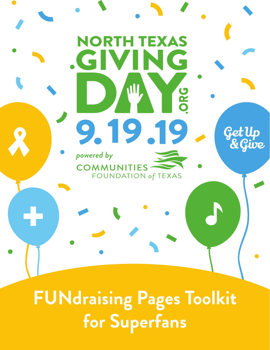

**for Superfans**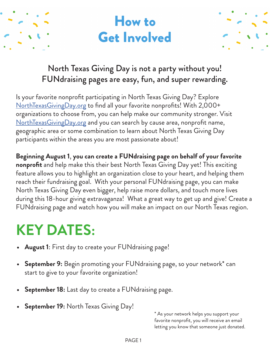



## North Texas Giving Day is not a party without you! FUNdraising pages are easy, fun, and super rewarding.

Is your favorite nonprofit participating in North Texas Giving Day? Explore [NorthTexasGivingDay.org](https://www.northtexasgivingday.org/) to find all your favorite nonprofits! With 2,000+ organizations to choose from, you can help make our community stronger. Visit [NorthTexasGivingDay.org](https://www.northtexasgivingday.org/) and you can search by cause area, nonprofit name, geographic area or some combination to learn about North Texas Giving Day participants within the areas you are most passionate about!

**Beginning August 1**, **you can create a FUNdraising page on behalf of your favorite nonprofit** and help make this their best North Texas Giving Day yet! This exciting feature allows you to highlight an organization close to your heart, and helping them reach their fundraising goal. With your personal FUNdraising page, you can make North Texas Giving Day even bigger, help raise more dollars, and touch more lives during this 18-hour giving extravaganza! What a great way to get up and give! Create a FUNdraising page and watch how you will make an impact on our North Texas region.

# **KEY DATES:**

- **• August 1**: First day to create your FUNdraising page!
- **• September 9:** Begin promoting your FUNdraising page, so your network\* can start to give to your favorite organization!
- **• September 18:** Last day to create a FUNdraising page.
- **• September 19:** North Texas Giving Day!

\* As your network helps you support your favorite nonprofit, you will receive an email letting you know that someone just donated.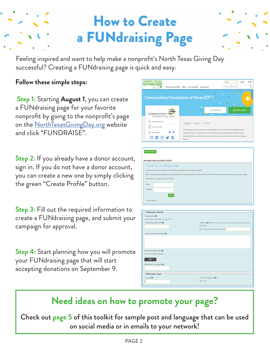# How to Create a FUNdraising Page

Feeling inspired and want to help make a nonprofit's North Texas Giving Day successful? Creating a FUNdraising page is quick and easy.

#### **Follow these simple steps:**

**Step 1:** Starting **August 1**, you can create a FUNdraising page for your favorite nonprofit by going to the nonprofit's page on the **NorthTexasGivingDay.org** website and click "FUNDRAISE".

**Step 2:** If you already have a donor account, sign in. If you do not have a donor account, you can create a new one by simply clicking the green "Create Profile" button.

**Step 3:** Fill out the required information to create a FUNdraising page, and submit your campaign for approval.

**Step 4:** Start planning how you will promote your FUNdraising page that will start accepting donations on September 9.



| <b>CREATE PROFILE</b>                                                                                                                                 |
|-------------------------------------------------------------------------------------------------------------------------------------------------------|
| Already Have a profile? LOGIN                                                                                                                         |
| Thanks for creating a page!                                                                                                                           |
| In order to create and manage your fundraising campaign you must create a profile.                                                                    |
| With a fundraising campaign you can challenge friends, family, and others to raise money for the charity of your choice through your own unique page. |
| Please login or create a profile to proceed.                                                                                                          |
| Email                                                                                                                                                 |
| Password                                                                                                                                              |
| <b>LOGIN</b>                                                                                                                                          |
|                                                                                                                                                       |
| Forgot Password?                                                                                                                                      |
|                                                                                                                                                       |
| <b>FUNdraiser Details</b>                                                                                                                             |
| * Organization @                                                                                                                                      |
| Communities Foundation of Texas (CFT)                                                                                                                 |
| * FUNdraising Page Title <sup>O</sup><br>* URL Link @ The URL you enter can take up to 2 hours after being approved by the nonprofit to               |
| display publicly                                                                                                                                      |
| https://www.northtexasgivingday.org/                                                                                                                  |
| * Summary/Personal Appeal <sup>@</sup>                                                                                                                |
|                                                                                                                                                       |
|                                                                                                                                                       |

### **Need ideas on how to promote your page?**

FUNdraiser Page Photo <sup>O</sup>

Upload

**FUNdraiser Goal** 

Check out **page 5** of this toolkit for sample post and language that can be used on social media or in emails to your network!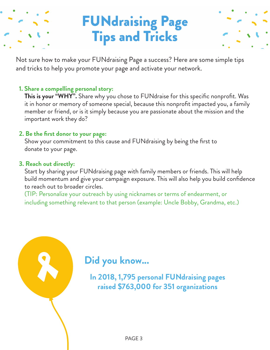## FUNdraising Page Tips and Tricks



Not sure how to make your FUNdraising Page a success? Here are some simple tips and tricks to help you promote your page and activate your network.

#### **1. Share a compelling personal story:**

This is your "WHY". Share why you chose to FUNdraise for this specific nonprofit. Was it in honor or memory of someone special, because this nonprofit impacted you, a family member or friend, or is it simply because you are passionate about the mission and the important work they do?

#### **2. Be the first donor to your page:**

Show your commitment to this cause and FUNdraising by being the first to donate to your page.

#### **3. Reach out directly:**

Start by sharing your FUNdraising page with family members or friends. This will help build momentum and give your campaign exposure. This will also help you build confidence to reach out to broader circles.

(TIP: Personalize your outreach by using nicknames or terms of endearment, or including something relevant to that person (example: Uncle Bobby, Grandma, etc.)

## **Did you know...**

**In 2018, 1,795 personal FUNdraising pages raised \$763,000 for 351 organizations**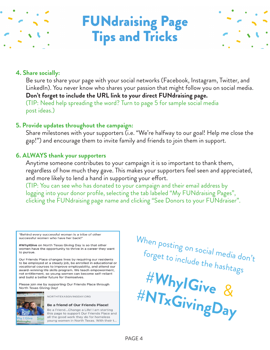

## FUNdraising Page Tips and Tricks



#### **4. Share socially:**

Be sure to share your page with your social networks (Facebook, Instagram, Twitter, and LinkedIn). You never know who shares your passion that might follow you on social media. **Don't forget to include the URL link to your direct FUNdraising page.** (TIP: Need help spreading the word? Turn to page 5 for sample social media post ideas.)

#### **5. Provide updates throughout the campaign:**

Share milestones with your supporters (i.e. "We're halfway to our goal! Help me close the gap!") and encourage them to invite family and friends to join them in support.

#### **6. ALWAYS thank your supporters**

Anytime someone contributes to your campaign it is so important to thank them, regardless of how much they gave. This makes your supporters feel seen and appreciated, and more likely to lend a hand in supporting your effort.

(TIP: You can see who has donated to your campaign and their email address by logging into your donor profile, selecting the tab labeled "My FUNdraising Pages", clicking the FUNdraising page name and clicking "See Donors to your FUNdraiser".

"Behind every successful woman is a tribe of other successful women who have her back!"

#WhylGive on North Texas Giving Day is so that other women have the opportunity to thrive in a career they want to pursue.

Our Friends Place changes lives by requiring our residents to be employed at a steady job, be enrolled in educational or vocational courses to improve employability, and attend our award-winning life skills program. We teach empowerment, not entitlement, so young women can become self-reliant and build a better future for themselves.

Please join me by supporting Our Friends Place through North Texas Giving Day!



NORTHTEXASGIVINGDAY.ORG

#### Be a friend of Our Friends Place!

Be a Friend...Change a Life! I am starting this page to support Our Friends Place and all the good work they do for homeless young women in North Texas. With their t.

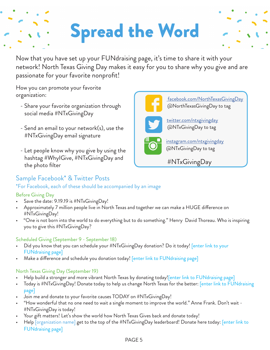# Spread the Word

Now that you have set up your FUNdraising page, it's time to share it with your network! North Texas Giving Day makes it easy for you to share why you give and are passionate for your favorite nonprofit!

How you can promote your favorite organization:

- Share your favorite organization through social media #NTxGivingDay
- Send an email to your network(s), use the #NTxGivingDay email signature
- Let people know why you give by using the hashtag #WhyIGive, #NTxGivingDay and the photo filter

#### Sample Facebook\* & Twitter Posts

#### \*For Facebook, each of these should be accompanied by an image

#### Before Giving Day

- Save the date: 9.19.19 is #NTxGivingDay!
- Approximately 7 million people live in North Texas and together we can make a HUGE difference on #NTxGivingDay!
- "One is not born into the world to do everything but to do something." Henry David Thoreau. Who is inspiring you to give this #NTxGivingDay?

#### Scheduled Giving (September 9 - September 18)

- Did you know that you can schedule your #NTxGivingDay donation? Do it today! [enter link to your FUNdraising page]
- Make a difference and schedule you donation today! [enter link to FUNdraising page]

#### North Texas Giving Day (September 19)

- Help build a stronger and more vibrant North Texas by donating today![enter link to FUNdraising page]
- Today is #NTxGivingDay! Donate today to help us change North Texas for the better: **[enter link to FUNdraising** page]
- Join me and donate to your favorite causes TODAY on #NTxGivingDay!
- "How wonderful that no one need to wait a single moment to improve the world." Anne Frank. Don't wait #NTxGivingDay is today!
- Your gift matters! Let's show the world how North Texas Gives back and donate today!
- Help *[organization name]* get to the top of the #NTxGivingDay leaderboard! Donate here today: *[enter link to* FUNdraising page]

#NTxGivingDay